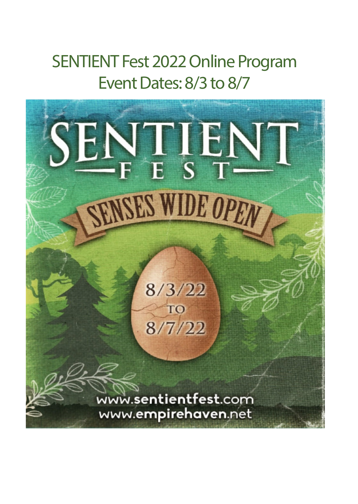# SENTIENT Fest 2022 Online Program Event Dates: 8/3 to 8/7

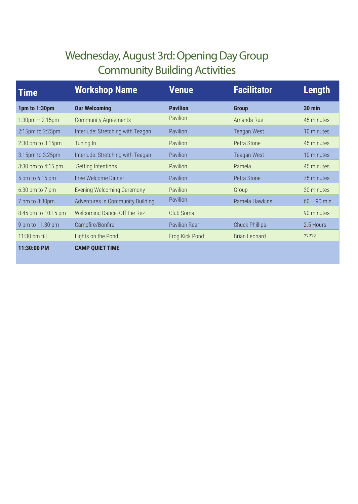#### Wednesday, August 3rd: Opening Day Group Community Building Activities

| <b>Time</b>                       | <b>Workshop Name</b>              | <b>Venue</b>         | <b>Facilitator</b>    | <b>Length</b>                                              |
|-----------------------------------|-----------------------------------|----------------------|-----------------------|------------------------------------------------------------|
| 1pm to 1:30pm                     | <b>Our Welcoming</b>              | <b>Pavilion</b>      | <b>Group</b>          | <b>30 min</b>                                              |
| $1:30 \text{pm} - 2:15 \text{pm}$ | <b>Community Agreements</b>       | Pavilion             | Amanda Rue            | 45 minutes                                                 |
| 2:15pm to 2:25pm                  | Interlude: Stretching with Teagan | <b>Pavilion</b>      | Teagan West           | 10 minutes                                                 |
| 2:30 pm to 3:15pm                 | Tuning In                         | <b>Pavilion</b>      | Petra Stone           | 45 minutes                                                 |
| 3:15pm to 3:25pm                  | Interlude: Stretching with Teagan | <b>Pavilion</b>      | <b>Teagan West</b>    | 10 minutes                                                 |
| 3:30 pm to 4:15 pm                | Setting Intentions                | <b>Pavilion</b>      | Pamela                | 45 minutes                                                 |
| 5 pm to 6:15 pm                   | Free Welcome Dinner               | Pavilion             | Petra Stone           | 75 minutes                                                 |
| $6:30$ pm to $7$ pm               | <b>Evening Welcoming Ceremony</b> | Pavilion             | Group                 | 30 minutes                                                 |
| 7 pm to 8:30pm                    | Adventures in Community Building  | Pavilion             | Pamela Hawkins        | $60 - 90$ min                                              |
| 8:45 pm to 10:15 pm               | Welcoming Dance: Off the Rez      | Club Soma            |                       | 90 minutes                                                 |
| 9 pm to 11:30 pm                  | Campfire/Bonfire                  | <b>Pavilion Rear</b> | <b>Chuck Phillips</b> | 2.5 Hours                                                  |
| 11:30 pm till                     | Lights on the Pond                | Frog Kick Pond       | Brian Leonard         | $??\overset{\circ}{?}\overset{\circ}{?}\overset{\circ}{?}$ |
| 11:30:00 PM                       | <b>CAMP QUIET TIME</b>            |                      |                       |                                                            |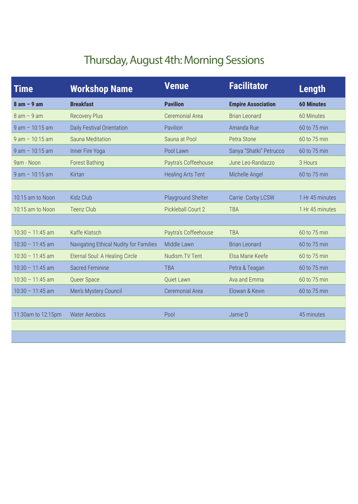## Thursday, August 4th: Morning Sessions

| <b>Empire Association</b><br><b>60 Minutes</b> |
|------------------------------------------------|
|                                                |
| <b>Brian Leonard</b><br>60 Minutes             |
| Amanda Rue<br>60 to 75 min                     |
| Petra Stone<br>60 to 75 min                    |
| Sanya "Shatki" Petrucco<br>60 to 75 min        |
| June Leo-Randazzo<br>3 Hours                   |
| Michelle Angel<br>60 to 75 min                 |
|                                                |
| 1 Hr 45 minutes<br>Carrie Corby LCSW           |
| 1 Hr 45 minutes                                |
|                                                |
| 60 to 75 min                                   |
| <b>Brian Leonard</b><br>60 to 75 min           |
| Elsa Marie Keefe<br>60 to 75 min               |
| Petra & Teagan<br>60 to 75 min                 |
| Ava and Emma<br>60 to 75 min                   |
| Elowan & Kevin<br>60 to 75 min                 |
|                                                |
| 45 minutes                                     |
|                                                |
|                                                |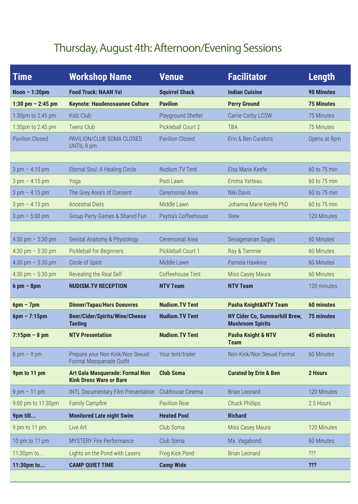# Thursday, August 4th: Afternoon/Evening Sessions

| <b>Time</b>                      | <b>Workshop Name</b>                                              | <b>Venue</b>           | <b>Facilitator</b>                                              | <b>Length</b>     |
|----------------------------------|-------------------------------------------------------------------|------------------------|-----------------------------------------------------------------|-------------------|
| Noon $-1:30$ pm                  | <b>Food Truck: NAAN Ya!</b>                                       | <b>Squirrel Shack</b>  | <b>Indian Cuisine</b>                                           | <b>90 Minutes</b> |
| 1:30 pm $-$ 2:45 pm              | <b>Keynote: Haudenosaunee Culture</b>                             | <b>Pavilion</b>        | <b>Perry Ground</b>                                             | <b>75 Minutes</b> |
| 1:30pm to 2:45 pm                | Kidz Club                                                         | Playground Shelter     | Carrie Corby LCSW                                               | 75 Minutes        |
| 1:30pm to 2:45 pm                | <b>Teenz Club</b>                                                 | Pickleball Court 2     | <b>TBA</b>                                                      | 75 Minutes        |
| <b>Pavilion Closed</b>           | PAVILION/CLUB SOMA CLOSED<br>UNTIL 9 pm                           | <b>Pavilion Closed</b> | Erin & Ben Curators                                             | Opens at 9pm      |
|                                  |                                                                   |                        |                                                                 |                   |
| $3 \text{ pm} - 4:15 \text{ pm}$ | Eternal Soul: A Healing Circle                                    | Nudism. TV Tent        | Elsa Marie Keefe                                                | 60 to 75 min      |
| $3 \text{ pm} - 4:15 \text{ pm}$ | Yoga                                                              | Pool Lawn              | Emma Yatteau                                                    | 60 to 75 min      |
| $3 \text{ pm} - 4:15 \text{ pm}$ | The Grey Area's of Consent                                        | Ceremonial Area        | Niki Davis                                                      | 60 to 75 min      |
| $3 \text{ pm} - 4:15 \text{ pm}$ | <b>Ancestral Diets</b>                                            | Middle Lawn            | Johanna Marie Keefe PhD                                         | 60 to 75 min      |
| $3 \text{ pm} - 5:00 \text{ pm}$ | <b>Group Party Games &amp; Shared Fun</b>                         | Paytra's Coffeehouse   | <b>Stew</b>                                                     | 120 Minutes       |
|                                  |                                                                   |                        |                                                                 |                   |
| 4:30 pm $-$ 5:30 pm              | <b>Genital Anatomy &amp; Physiology</b>                           | <b>Ceremonial Area</b> | Sexagenarian Sages                                              | 60 Minutes        |
| 4:30 pm $-$ 5:30 pm              | Pickleball for Beginners                                          | Pickleball Court 1     | Ray & Tammie                                                    | 60 Minutes        |
| 4:30 pm $-$ 5:30 pm              | Circle of Spirit                                                  | Middle Lawn            | Pamela Hawkins                                                  | 60 Minutes        |
| 4:30 pm $-$ 5:30 pm              | Revealing the Real Self                                           | Coffeehouse Tent       | Miss Casey Maura                                                | 60 Minutes        |
| $6$ pm $-$ 8pm                   | <b>NUDISM.TV RECEPTION</b>                                        | <b>NTV Team</b>        | <b>NTV Team</b>                                                 | 120 minutes       |
| $6pm - 7pm$                      | <b>Dinner/Tapas/Hors Doeuvres</b>                                 | <b>Nudism.TV Tent</b>  | Pasha Knight&NTV Team                                           | <b>60 minutes</b> |
| $6pm - 7:15pm$                   | <b>Beer/Cider/Spirits/Wine/Cheese</b><br><b>Tasting</b>           | <b>Nudism.TV Tent</b>  | <b>NY Cider Co, Summerhill Brew,</b><br><b>Mushroom Spirits</b> | <b>75 minutes</b> |
| $7:15$ pm – 8 pm                 | <b>NTV Presentation</b>                                           | <b>Nudism. TV Tent</b> | <b>Pasha Knight &amp; NTV</b><br><b>Team</b>                    | <b>45 minutes</b> |
| $8 \text{ pm} - 9 \text{ pm}$    | Prepare your Non Kink/Non Sexual<br>Formal Masquerade Outfit      | Your tent/trailer      | Non-Kink/Non Sexual Formal                                      | 60 Minutes        |
| 9pm to 11 pm                     | Art Gala Masquerade: Formal Non<br><b>Kink Dress Ware or Bare</b> | <b>Club Soma</b>       | <b>Curated by Erin &amp; Ben</b>                                | 2 Hours           |
| $9 \text{ pm} - 11 \text{ pm}$   | <b>INTL Documentary Film Presentation</b>                         | Clubhouse Cinema       | <b>Brian Leonard</b>                                            | 120 Minutes       |
| 9:00 pm to 11:30pm               | <b>Family Campfire</b>                                            | <b>Pavilion Rear</b>   | <b>Chuck Phillips</b>                                           | 2.5 Hours         |
| 9pm till                         | <b>Monitored Late night Swim</b>                                  | <b>Heated Pool</b>     | <b>Richard</b>                                                  |                   |
| 9 pm to 11 pm                    | Live Art                                                          | Club Soma              | Miss Casey Maura                                                | 120 Minutes       |
| 10 pm to 11 pm                   | <b>MYSTERY Fire Performance</b>                                   | Club Soma              | Mx. Vagabond                                                    | 60 Minutes        |
| 11:30pm to                       | Lights on the Pond with Lasers                                    | Frog Kick Pond         | <b>Brian Leonard</b>                                            | ???               |
| 11:30pm to                       | <b>CAMP QUIET TIME</b>                                            | <b>Camp Wide</b>       |                                                                 | ???               |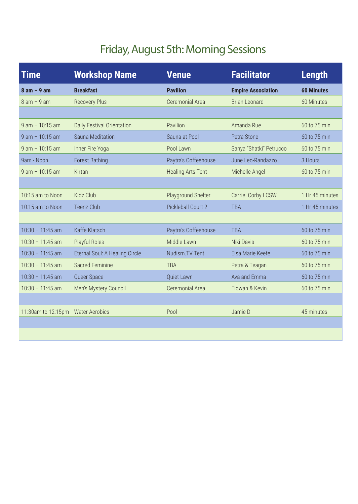# Friday, August 5th: Morning Sessions

| <b>Time</b>        | <b>Workshop Name</b>           | <b>Venue</b>             | <b>Facilitator</b>        | <b>Length</b>     |
|--------------------|--------------------------------|--------------------------|---------------------------|-------------------|
| $8$ am $-9$ am     | <b>Breakfast</b>               | <b>Pavilion</b>          | <b>Empire Association</b> | <b>60 Minutes</b> |
| $8 am - 9 am$      | <b>Recovery Plus</b>           | Ceremonial Area          | <b>Brian Leonard</b>      | 60 Minutes        |
|                    |                                |                          |                           |                   |
| $9$ am $-10:15$ am | Daily Festival Orientation     | Pavilion                 | Amanda Rue                | 60 to 75 min      |
| $9$ am $-10:15$ am | Sauna Meditation               | Sauna at Pool            | Petra Stone               | 60 to 75 min      |
| $9$ am $-10:15$ am | Inner Fire Yoga                | Pool Lawn                | Sanya "Shatki" Petrucco   | 60 to 75 min      |
| 9am - Noon         | <b>Forest Bathing</b>          | Paytra's Coffeehouse     | June Leo-Randazzo         | 3 Hours           |
| $9$ am $-10:15$ am | Kirtan                         | <b>Healing Arts Tent</b> | Michelle Angel            | 60 to 75 min      |
|                    |                                |                          |                           |                   |
| 10:15 am to Noon   | Kidz Club                      | Playground Shelter       | Carrie Corby LCSW         | 1 Hr 45 minutes   |
| 10:15 am to Noon   | <b>Teenz Club</b>              | Pickleball Court 2       | <b>TBA</b>                | 1 Hr 45 minutes   |
|                    |                                |                          |                           |                   |
| $10:30 - 11:45$ am | Kaffe Klatsch                  | Paytra's Coffeehouse     | <b>TBA</b>                | 60 to 75 min      |
| $10:30 - 11:45$ am | <b>Playful Roles</b>           | Middle Lawn              | Niki Davis                | 60 to 75 min      |
| $10:30 - 11:45$ am | Eternal Soul: A Healing Circle | Nudism. TV Tent          | Elsa Marie Keefe          | 60 to 75 min      |
| $10:30 - 11:45$ am | Sacred Feminine                | <b>TBA</b>               | Petra & Teagan            | 60 to 75 min      |
| $10:30 - 11:45$ am | Queer Space                    | Quiet Lawn               | Ava and Emma              | 60 to 75 min      |
| $10:30 - 11:45$ am | Men's Mystery Council          | Ceremonial Area          | Elowan & Kevin            | 60 to 75 min      |
|                    |                                |                          |                           |                   |
| 11:30am to 12:15pm | <b>Water Aerobics</b>          | Pool                     | Jamie D                   | 45 minutes        |
|                    |                                |                          |                           |                   |
|                    |                                |                          |                           |                   |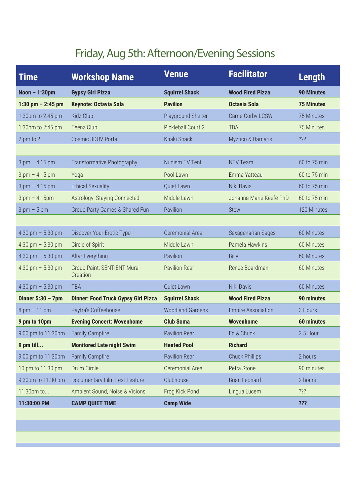# Friday, Aug 5th: Afternoon/Evening Sessions

| Time                             | <b>Workshop Name</b>                           | <b>Venue</b>            | <b>Facilitator</b>           | <b>Length</b>     |
|----------------------------------|------------------------------------------------|-------------------------|------------------------------|-------------------|
| Noon $-1:30$ pm                  | <b>Gypsy Girl Pizza</b>                        | <b>Squirrel Shack</b>   | <b>Wood Fired Pizza</b>      | <b>90 Minutes</b> |
| 1:30 pm $-$ 2:45 pm              | <b>Keynote: Octavia Sola</b>                   | <b>Pavilion</b>         | <b>Octavia Sola</b>          | <b>75 Minutes</b> |
| 1:30pm to 2:45 pm                | Kidz Club                                      | Playground Shelter      | Carrie Corby LCSW            | 75 Minutes        |
| 1:30pm to 2:45 pm                | Teenz Club                                     | Pickleball Court 2      | <b>TBA</b>                   | 75 Minutes        |
| 2 pm to ?                        | Cosmic 3DUV Portal                             | Khaki Shack             | <b>Myztico &amp; Damaris</b> | ???               |
|                                  |                                                |                         |                              |                   |
| $3 \text{ pm} - 4:15 \text{ pm}$ | Transformative Photography                     | Nudism. TV Tent         | NTV Team                     | 60 to 75 min      |
| $3 \text{ pm} - 4:15 \text{ pm}$ | Yoga                                           | Pool Lawn               | Emma Yatteau                 | 60 to 75 min      |
| $3 \text{ pm} - 4:15 \text{ pm}$ | <b>Ethical Sexuality</b>                       | Quiet Lawn              | Niki Davis                   | 60 to 75 min      |
| $3 \text{ pm} - 4:15 \text{ pm}$ | <b>Astrology: Staying Connected</b>            | Middle Lawn             | Johanna Marie Keefe PhD      | 60 to 75 min      |
| $3 \text{ pm} - 5 \text{ pm}$    | Group Party Games & Shared Fun                 | Pavilion                | <b>Stew</b>                  | 120 Minutes       |
|                                  |                                                |                         |                              |                   |
| 4:30 pm $-$ 5:30 pm              | Discover Your Erotic Type                      | Ceremonial Area         | Sexagenarian Sages           | 60 Minutes        |
| 4:30 pm $-$ 5:30 pm              | Circle of Spirit                               | Middle Lawn             | Pamela Hawkins               | 60 Minutes        |
| 4:30 pm $-$ 5:30 pm              | Altar Everything                               | Pavilion                | <b>Billy</b>                 | 60 Minutes        |
| 4:30 pm $-$ 5:30 pm              | <b>Group Paint: SENTIENT Mural</b><br>Creation | <b>Pavilion Rear</b>    | Renee Boardman               | 60 Minutes        |
| 4:30 pm $-$ 5:30 pm              | <b>TBA</b>                                     | Quiet Lawn              | Niki Davis                   | 60 Minutes        |
| Dinner $5:30 - 7$ pm             | <b>Dinner: Food Truck Gypsy Girl Pizza</b>     | <b>Squirrel Shack</b>   | <b>Wood Fired Pizza</b>      | <b>90 minutes</b> |
| $8 \text{ pm} - 11 \text{ pm}$   | Paytra's Coffeehouse                           | <b>Woodland Gardens</b> | <b>Empire Association</b>    | 3 Hours           |
| 9 pm to 10pm                     | <b>Evening Concert: Wovenhome</b>              | <b>Club Soma</b>        | <b>Wovenhome</b>             | <b>60 minutes</b> |
| 9:00 pm to 11:30pm               | <b>Family Campfire</b>                         | <b>Pavilion Rear</b>    | Ed & Chuck                   | 2.5 Hour          |
| 9 pm till                        | <b>Monitored Late night Swim</b>               | <b>Heated Pool</b>      | <b>Richard</b>               |                   |
| 9:00 pm to 11:30pm               | <b>Family Campfire</b>                         | Pavilion Rear           | <b>Chuck Phillips</b>        | 2 hours           |
| 10 pm to 11:30 pm                | Drum Circle                                    | Ceremonial Area         | Petra Stone                  | 90 minutes        |
| 9:30pm to 11:30 pm               | Documentary Film Fest Feature                  | Clubhouse               | <b>Brian Leonard</b>         | 2 hours           |
| 11:30pm to                       | Ambient Sound, Noise & Visions                 | Frog Kick Pond          | Lingua Lucem                 | 222               |
| 11:30:00 PM                      | <b>CAMP QUIET TIME</b>                         | <b>Camp Wide</b>        |                              | ???               |
|                                  |                                                |                         |                              |                   |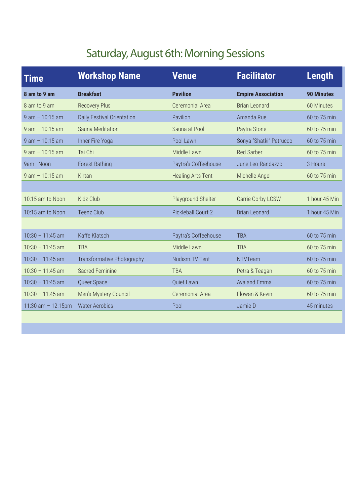## Saturday, August 6th: Morning Sessions

| <b>Time</b>           | <b>Workshop Name</b>              | <b>Venue</b>             | <b>Facilitator</b>        | <b>Length</b>     |
|-----------------------|-----------------------------------|--------------------------|---------------------------|-------------------|
| 8 am to 9 am          | <b>Breakfast</b>                  | <b>Pavilion</b>          | <b>Empire Association</b> | <b>90 Minutes</b> |
| 8 am to 9 am          | <b>Recovery Plus</b>              | Ceremonial Area          | <b>Brian Leonard</b>      | 60 Minutes        |
| $9$ am $-10:15$ am    | Daily Festival Orientation        | Pavilion                 | Amanda Rue                | 60 to 75 min      |
| $9$ am $-10:15$ am    | Sauna Meditation                  | Sauna at Pool            | Paytra Stone              | 60 to 75 min      |
| $9$ am $-10:15$ am    | Inner Fire Yoga                   | Pool Lawn                | Sonya "Shatki" Petrucco   | 60 to 75 min      |
| $9$ am $-10:15$ am    | Tai Chi                           | Middle Lawn              | <b>Red Sarber</b>         | 60 to 75 min      |
| 9am - Noon            | <b>Forest Bathing</b>             | Paytra's Coffeehouse     | June Leo-Randazzo         | 3 Hours           |
| $9$ am $-10:15$ am    | Kirtan                            | <b>Healing Arts Tent</b> | Michelle Angel            | 60 to 75 min      |
|                       |                                   |                          |                           |                   |
| 10:15 am to Noon      | Kidz Club                         | Playground Shelter       | Carrie Corby LCSW         | 1 hour 45 Min     |
| 10:15 am to Noon      | <b>Teenz Club</b>                 | Pickleball Court 2       | <b>Brian Leonard</b>      | 1 hour 45 Min     |
|                       |                                   |                          |                           |                   |
| $10:30 - 11:45$ am    | Kaffe Klatsch                     | Paytra's Coffeehouse     | <b>TBA</b>                | 60 to 75 min      |
| $10:30 - 11:45$ am    | <b>TBA</b>                        | Middle Lawn              | <b>TBA</b>                | 60 to 75 min      |
| $10:30 - 11:45$ am    | <b>Transformative Photography</b> | Nudism. TV Tent          | <b>NTVTeam</b>            | 60 to 75 min      |
| $10:30 - 11:45$ am    | <b>Sacred Feminine</b>            | <b>TBA</b>               | Petra & Teagan            | 60 to 75 min      |
| $10:30 - 11:45$ am    | Queer Space                       | Quiet Lawn               | Ava and Emma              | 60 to 75 min      |
| $10:30 - 11:45$ am    | Men's Mystery Council             | Ceremonial Area          | Elowan & Kevin            | 60 to 75 min      |
| 11:30 am $- 12:15$ pm | <b>Water Aerobics</b>             | Pool                     | Jamie D                   | 45 minutes        |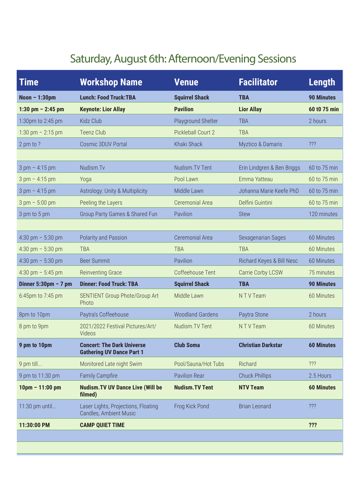#### Saturday, August 6th: Afternoon/Evening Sessions

| <b>Time</b>                           | <b>Workshop Name</b>                                                  | <b>Venue</b>            | <b>Facilitator</b>           | <b>Length</b>     |
|---------------------------------------|-----------------------------------------------------------------------|-------------------------|------------------------------|-------------------|
| Noon $-1:30$ pm                       | <b>Lunch: Food Truck:TBA</b>                                          | <b>Squirrel Shack</b>   | <b>TBA</b>                   | <b>90 Minutes</b> |
| 1:30 pm $- 2:45$ pm                   | <b>Keynote: Lior Allay</b>                                            | <b>Pavilion</b>         | <b>Lior Allay</b>            | 60 t0 75 min      |
| 1:30pm to 2:45 pm                     | Kidz Club                                                             | Playground Shelter      | <b>TBA</b>                   | 2 hours           |
| 1:30 pm $- 2:15$ pm                   | <b>Teenz Club</b>                                                     | Pickleball Court 2      | <b>TBA</b>                   |                   |
| 2 pm to ?                             | Cosmic 3DUV Portal                                                    | Khaki Shack             | <b>Myztico &amp; Damaris</b> | ???               |
|                                       |                                                                       |                         |                              |                   |
| $3 \text{ pm} - 4:15 \text{ pm}$      | Nudism.Tv                                                             | Nudism. TV Tent         | Erin Lindgren & Ben Briggs   | 60 to 75 min      |
| $3 \text{ pm} - 4:15 \text{ pm}$      | Yoga                                                                  | Pool Lawn               | Emma Yatteau                 | 60 to 75 min      |
| $3 \text{ pm} - 4:15 \text{ pm}$      | Astrology: Unity & Multiplicity                                       | Middle Lawn             | Johanna Marie Keefe PhD      | 60 to 75 min      |
| $3 \text{ pm} - 5:00 \text{ pm}$      | Peeling the Layers                                                    | Ceremonial Area         | Delfini Guintini             | 60 to 75 min      |
| 3 pm to 5 pm                          | Group Party Games & Shared Fun                                        | Pavilion                | <b>Stew</b>                  | 120 minutes       |
|                                       |                                                                       |                         |                              |                   |
| 4:30 pm $-$ 5:30 pm                   | Polarity and Passion                                                  | Ceremonial Area         | Sexagenarian Sages           | 60 Minutes        |
| 4:30 pm $-$ 5:30 pm                   | <b>TBA</b>                                                            | <b>TBA</b>              | <b>TBA</b>                   | 60 Minutes        |
| 4:30 pm $-$ 5:30 pm                   | <b>Beer Summit</b>                                                    | Pavilion                | Richard Keyes & Bill Nesc    | 60 Minutes        |
| 4:30 pm $-$ 5:45 pm                   | <b>Reinventing Grace</b>                                              | Coffeehouse Tent        | Carrie Corby LCSW            | 75 minutes        |
| Dinner $5:30 \text{pm} - 7 \text{pm}$ | <b>Dinner: Food Truck: TBA</b>                                        | <b>Squirrel Shack</b>   | <b>TBA</b>                   | <b>90 Minutes</b> |
| 6:45pm to 7:45 pm                     | SENTIENT Group Phote/Group Art<br>Photo                               | Middle Lawn             | NTV Team                     | 60 Minutes        |
| 8pm to 10pm                           | Paytra's Coffeehouse                                                  | <b>Woodland Gardens</b> | Paytra Stone                 | 2 hours           |
| 8 pm to 9pm                           | 2021/2022 Festival Pictures/Art/<br>Videos                            | Nudism. TV Tent         | N T V Team                   | 60 Minutes        |
| 9 pm to 10pm                          | <b>Concert: The Dark Universe</b><br><b>Gathering UV Dance Part 1</b> | <b>Club Soma</b>        | <b>Christian Darkstar</b>    | <b>60 Minutes</b> |
| 9 pm till                             | Monitored Late night Swim                                             | Pool/Sauna/Hot Tubs     | Richard                      | ???               |
| 9 pm to 11:30 pm                      | <b>Family Campfire</b>                                                | Pavilion Rear           | <b>Chuck Phillips</b>        | 2.5 Hours         |
| $10 \text{pm} - 11:00 \text{pm}$      | <b>Nudism. TV UV Dance Live (Will be</b><br>filmed)                   | <b>Nudism.TV Tent</b>   | <b>NTV Team</b>              | <b>60 Minutes</b> |
| 11:30 pm until                        | Laser Lights, Projections, Floating<br><b>Candles, Ambient Music</b>  | Frog Kick Pond          | <b>Brian Leonard</b>         | $?$ ??            |
| 11:30:00 PM                           | <b>CAMP QUIET TIME</b>                                                |                         |                              | ???               |
|                                       |                                                                       |                         |                              |                   |
|                                       |                                                                       |                         |                              |                   |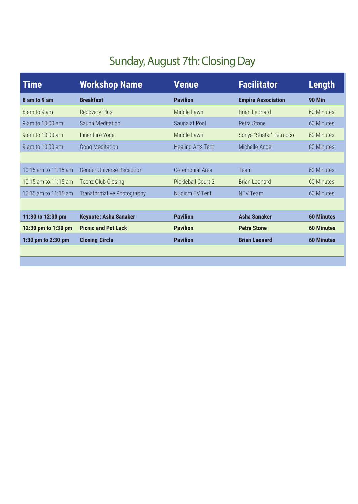## Sunday, August 7th: Closing Day

| <b>Time</b>          | <b>Workshop Name</b>              | <b>Venue</b>             | <b>Facilitator</b>        | Length            |
|----------------------|-----------------------------------|--------------------------|---------------------------|-------------------|
| 8 am to 9 am         | <b>Breakfast</b>                  | <b>Pavilion</b>          | <b>Empire Association</b> | <b>90 Min</b>     |
| 8 am to 9 am         | <b>Recovery Plus</b>              | Middle Lawn              | <b>Brian Leonard</b>      | 60 Minutes        |
| 9 am to 10:00 am     | Sauna Meditation                  | Sauna at Pool            | Petra Stone               | 60 Minutes        |
| 9 am to 10:00 am     | Inner Fire Yoga                   | Middle Lawn              | Sonya "Shatki" Petrucco   | 60 Minutes        |
| 9 am to 10:00 am     | <b>Gong Meditation</b>            | <b>Healing Arts Tent</b> | Michelle Angel            | 60 Minutes        |
|                      |                                   |                          |                           |                   |
| 10:15 am to 11:15 am | <b>Gender Universe Reception</b>  | Ceremonial Area          | Team                      | 60 Minutes        |
| 10:15 am to 11:15 am | <b>Teenz Club Closing</b>         | Pickleball Court 2       | <b>Brian Leonard</b>      | 60 Minutes        |
| 10:15 am to 11:15 am | <b>Transformative Photography</b> | Nudism. TV Tent          | NTV Team                  | 60 Minutes        |
|                      |                                   |                          |                           |                   |
| 11:30 to 12:30 pm    | <b>Keynote: Asha Sanaker</b>      | <b>Pavilion</b>          | <b>Asha Sanaker</b>       | <b>60 Minutes</b> |
| 12:30 pm to 1:30 pm  | <b>Picnic and Pot Luck</b>        | <b>Pavilion</b>          | <b>Petra Stone</b>        | <b>60 Minutes</b> |
| 1:30 pm to 2:30 pm   | <b>Closing Circle</b>             | <b>Pavilion</b>          | <b>Brian Leonard</b>      | <b>60 Minutes</b> |
|                      |                                   |                          |                           |                   |